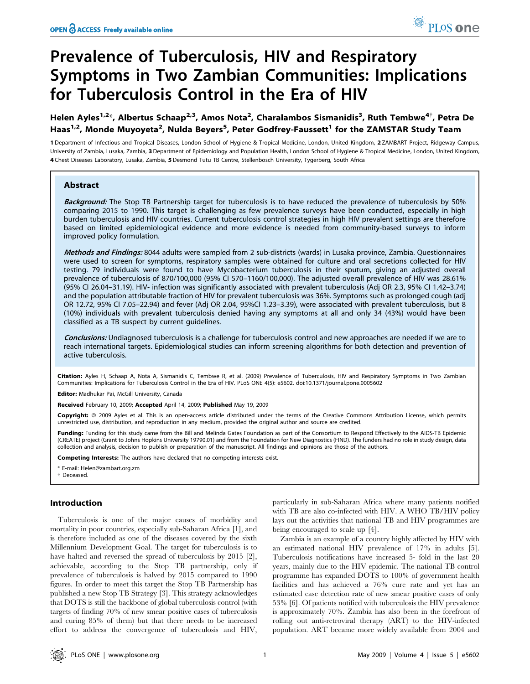# Prevalence of Tuberculosis, HIV and Respiratory Symptoms in Two Zambian Communities: Implications for Tuberculosis Control in the Era of HIV

Helen Ayles<sup>1,2</sup>\*, Albertus Schaap<sup>2,3</sup>, Amos Nota<sup>2</sup>, Charalambos Sismanidis<sup>3</sup>, Ruth Tembwe<sup>4†</sup>, Petra De Haas<sup>1,2</sup>, Monde Muyoyeta<sup>2</sup>, Nulda Beyers<sup>5</sup>, Peter Godfrey-Faussett<sup>1</sup> for the ZAMSTAR Study Team

1 Department of Infectious and Tropical Diseases, London School of Hygiene & Tropical Medicine, London, United Kingdom, 2 ZAMBART Project, Ridgeway Campus, University of Zambia, Lusaka, Zambia, 3Department of Epidemiology and Population Health, London School of Hygiene & Tropical Medicine, London, United Kingdom, 4 Chest Diseases Laboratory, Lusaka, Zambia, 5 Desmond Tutu TB Centre, Stellenbosch University, Tygerberg, South Africa

# Abstract

Background: The Stop TB Partnership target for tuberculosis is to have reduced the prevalence of tuberculosis by 50% comparing 2015 to 1990. This target is challenging as few prevalence surveys have been conducted, especially in high burden tuberculosis and HIV countries. Current tuberculosis control strategies in high HIV prevalent settings are therefore based on limited epidemiological evidence and more evidence is needed from community-based surveys to inform improved policy formulation.

Methods and Findings: 8044 adults were sampled from 2 sub-districts (wards) in Lusaka province, Zambia. Questionnaires were used to screen for symptoms, respiratory samples were obtained for culture and oral secretions collected for HIV testing. 79 individuals were found to have Mycobacterium tuberculosis in their sputum, giving an adjusted overall prevalence of tuberculosis of 870/100,000 (95% CI 570–1160/100,000). The adjusted overall prevalence of HIV was 28.61% (95% CI 26.04–31.19). HIV- infection was significantly associated with prevalent tuberculosis (Adj OR 2.3, 95% CI 1.42–3.74) and the population attributable fraction of HIV for prevalent tuberculosis was 36%. Symptoms such as prolonged cough (adj OR 12.72, 95% CI 7.05–22.94) and fever (Adj OR 2.04, 95%CI 1.23–3.39), were associated with prevalent tuberculosis, but 8 (10%) individuals with prevalent tuberculosis denied having any symptoms at all and only 34 (43%) would have been classified as a TB suspect by current guidelines.

Conclusions: Undiagnosed tuberculosis is a challenge for tuberculosis control and new approaches are needed if we are to reach international targets. Epidemiological studies can inform screening algorithms for both detection and prevention of active tuberculosis.

Citation: Ayles H, Schaap A, Nota A, Sismanidis C, Tembwe R, et al. (2009) Prevalence of Tuberculosis, HIV and Respiratory Symptoms in Two Zambian Communities: Implications for Tuberculosis Control in the Era of HIV. PLoS ONE 4(5): e5602. doi:10.1371/journal.pone.0005602

Editor: Madhukar Pai, McGill University, Canada

Received February 10, 2009; Accepted April 14, 2009; Published May 19, 2009

Copyright: © 2009 Ayles et al. This is an open-access article distributed under the terms of the Creative Commons Attribution License, which permits unrestricted use, distribution, and reproduction in any medium, provided the original author and source are credited.

Funding: Funding for this study came from the Bill and Melinda Gates Foundation as part of the Consortium to Respond Effectively to the AIDS-TB Epidemic (CREATE) project (Grant to Johns Hopkins University 19790.01) and from the Foundation for New Diagnostics (FIND). The funders had no role in study design, data collection and analysis, decision to publish or preparation of the manuscript. All findings and opinions are those of the authors.

Competing Interests: The authors have declared that no competing interests exist.

\* E-mail: Helen@zambart.org.zm

{ Deceased.

# Introduction

Tuberculosis is one of the major causes of morbidity and mortality in poor countries, especially sub-Saharan Africa [1], and is therefore included as one of the diseases covered by the sixth Millennium Development Goal. The target for tuberculosis is to have halted and reversed the spread of tuberculosis by 2015 [2], achievable, according to the Stop TB partnership, only if prevalence of tuberculosis is halved by 2015 compared to 1990 figures. In order to meet this target the Stop TB Partnership has published a new Stop TB Strategy [3]. This strategy acknowledges that DOTS is still the backbone of global tuberculosis control (with targets of finding 70% of new smear positive cases of tuberculosis and curing 85% of them) but that there needs to be increased effort to address the convergence of tuberculosis and HIV,

particularly in sub-Saharan Africa where many patients notified with TB are also co-infected with HIV. A WHO TB/HIV policy lays out the activities that national TB and HIV programmes are being encouraged to scale up [4].

Zambia is an example of a country highly affected by HIV with an estimated national HIV prevalence of 17% in adults [5]. Tuberculosis notifications have increased 5- fold in the last 20 years, mainly due to the HIV epidemic. The national TB control programme has expanded DOTS to 100% of government health facilities and has achieved a 76% cure rate and yet has an estimated case detection rate of new smear positive cases of only 53% [6]. Of patients notified with tuberculosis the HIV prevalence is approximately 70%. Zambia has also been in the forefront of rolling out anti-retroviral therapy (ART) to the HIV-infected population. ART became more widely available from 2004 and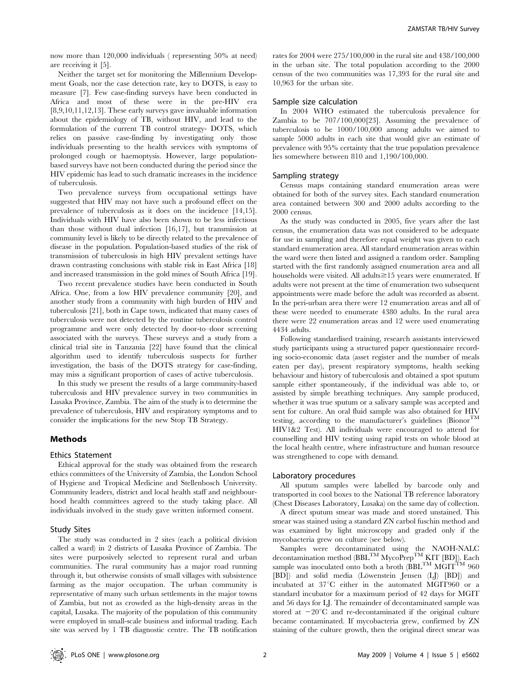now more than 120,000 individuals ( representing 50% at need) are receiving it [5].

Neither the target set for monitoring the Millennium Development Goals, nor the case detection rate, key to DOTS, is easy to measure [7]. Few case-finding surveys have been conducted in Africa and most of these were in the pre-HIV era [8,9,10,11,12,13]. These early surveys gave invaluable information about the epidemiology of TB, without HIV, and lead to the formulation of the current TB control strategy- DOTS, which relies on passive case-finding by investigating only those individuals presenting to the health services with symptoms of prolonged cough or haemoptysis. However, large populationbased surveys have not been conducted during the period since the HIV epidemic has lead to such dramatic increases in the incidence of tuberculosis.

Two prevalence surveys from occupational settings have suggested that HIV may not have such a profound effect on the prevalence of tuberculosis as it does on the incidence [14,15]. Individuals with HIV have also been shown to be less infectious than those without dual infection [16,17], but transmission at community level is likely to be directly related to the prevalence of disease in the population. Population-based studies of the risk of transmission of tuberculosis in high HIV prevalent settings have drawn contrasting conclusions with stable risk in East Africa [18] and increased transmission in the gold mines of South Africa [19].

Two recent prevalence studies have been conducted in South Africa. One, from a low HIV prevalence community [20], and another study from a community with high burden of HIV and tuberculosis [21], both in Cape town, indicated that many cases of tuberculosis were not detected by the routine tuberculosis control programme and were only detected by door-to–door screening associated with the surveys. These surveys and a study from a clinical trial site in Tanzania [22] have found that the clinical algorithm used to identify tuberculosis suspects for further investigation, the basis of the DOTS strategy for case-finding, may miss a significant proportion of cases of active tuberculosis.

In this study we present the results of a large community-based tuberculosis and HIV prevalence survey in two communities in Lusaka Province, Zambia. The aim of the study is to determine the prevalence of tuberculosis, HIV and respiratory symptoms and to consider the implications for the new Stop TB Strategy.

### Methods

#### Ethics Statement

Ethical approval for the study was obtained from the research ethics committees of the University of Zambia, the London School of Hygiene and Tropical Medicine and Stellenbosch University. Community leaders, district and local health staff and neighbourhood health committees agreed to the study taking place. All individuals involved in the study gave written informed consent.

### Study Sites

The study was conducted in 2 sites (each a political division called a ward) in 2 districts of Lusaka Province of Zambia. The sites were purposively selected to represent rural and urban communities. The rural community has a major road running through it, but otherwise consists of small villages with subsistence farming as the major occupation. The urban community is representative of many such urban settlements in the major towns of Zambia, but not as crowded as the high-density areas in the capital, Lusaka. The majority of the population of this community were employed in small-scale business and informal trading. Each site was served by 1 TB diagnostic centre. The TB notification rates for 2004 were 275/100,000 in the rural site and 438/100,000 in the urban site. The total population according to the 2000 census of the two communities was 17,393 for the rural site and 10,963 for the urban site.

# Sample size calculation

In 2004 WHO estimated the tuberculosis prevalence for Zambia to be 707/100,000[23]. Assuming the prevalence of tuberculosis to be 1000/100,000 among adults we aimed to sample 5000 adults in each site that would give an estimate of prevalence with 95% certainty that the true population prevalence lies somewhere between 810 and 1,190/100,000.

#### Sampling strategy

Census maps containing standard enumeration areas were obtained for both of the survey sites. Each standard enumeration area contained between 300 and 2000 adults according to the 2000 census.

As the study was conducted in 2005, five years after the last census, the enumeration data was not considered to be adequate for use in sampling and therefore equal weight was given to each standard enumeration area. All standard enumeration areas within the ward were then listed and assigned a random order. Sampling started with the first randomly assigned enumeration area and all households were visited. All adults $\geq 15$  years were enumerated. If adults were not present at the time of enumeration two subsequent appointments were made before the adult was recorded as absent. In the peri-urban area there were 12 enumeration areas and all of these were needed to enumerate 4380 adults. In the rural area there were 22 enumeration areas and 12 were used enumerating 4434 adults.

Following standardised training, research assistants interviewed study participants using a structured paper questionnaire recording socio-economic data (asset register and the number of meals eaten per day), present respiratory symptoms, health seeking behaviour and history of tuberculosis and obtained a spot sputum sample either spontaneously, if the individual was able to, or assisted by simple breathing techniques. Any sample produced, whether it was true sputum or a salivary sample was accepted and sent for culture. An oral fluid sample was also obtained for HIV testing, according to the manufacturer's guidelines (Bionor $^{TM}$ HIV1&2 Test). All individuals were encouraged to attend for counselling and HIV testing using rapid tests on whole blood at the local health centre, where infrastructure and human resource was strengthened to cope with demand.

#### Laboratory procedures

All sputum samples were labelled by barcode only and transported in cool boxes to the National TB reference laboratory (Chest Diseases Laboratory, Lusaka) on the same day of collection.

A direct sputum smear was made and stored unstained. This smear was stained using a standard ZN carbol fuschin method and was examined by light microscopy and graded only if the mycobacteria grew on culture (see below).

Samples were decontaminated using the NAOH-NALC decontamination method (BBL<sup>TM</sup> MycoPrep<sup>TM</sup> KIT [BD]). Each sample was inoculated onto both a broth  $(BBL^{TM} MGIT^{TM} 960$ [BD]) and solid media (Löwenstein Jensen (LJ) [BD]) and incubated at  $37^{\circ}$ C either in the automated MGIT960 or a standard incubator for a maximum period of 42 days for MGIT and 56 days for LJ. The remainder of decontaminated sample was stored at  $-20^{\circ}$ C and re-decontaminated if the original culture became contaminated. If mycobacteria grew, confirmed by ZN staining of the culture growth, then the original direct smear was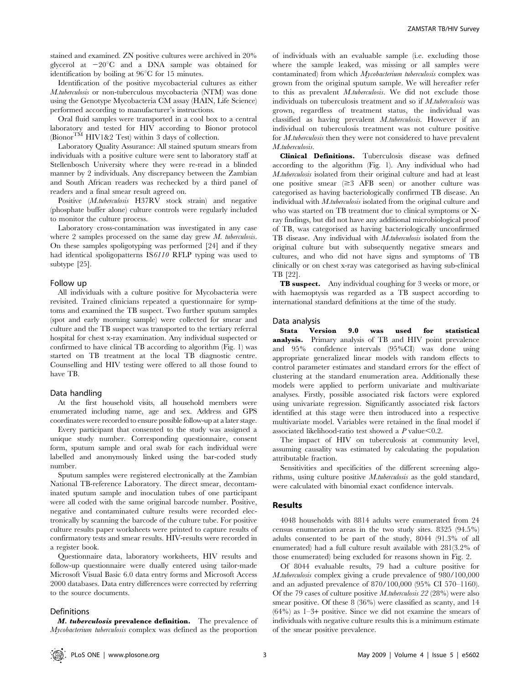stained and examined. ZN positive cultures were archived in 20% glycerol at  $-20^{\circ}$ C and a DNA sample was obtained for identification by boiling at  $96^{\circ}$ C for 15 minutes.

Identification of the positive mycobacterial cultures as either M.tuberculosis or non-tuberculous mycobacteria (NTM) was done using the Genotype Mycobacteria CM assay (HAIN, Life Science) performed according to manufacturer's instructions.

Oral fluid samples were transported in a cool box to a central laboratory and tested for HIV according to Bionor protocol (Bionor<sup>TM</sup> HIV1&2 Test) within 3 days of collection.

Laboratory Quality Assurance: All stained sputum smears from individuals with a positive culture were sent to laboratory staff at Stellenbosch University where they were re-read in a blinded manner by 2 individuals. Any discrepancy between the Zambian and South African readers was rechecked by a third panel of readers and a final smear result agreed on.

Positive (M.tuberculosis H37RV stock strain) and negative (phosphate buffer alone) culture controls were regularly included to monitor the culture process.

Laboratory cross-contamination was investigated in any case where 2 samples processed on the same day grew M. tuberculosis. On these samples spoligotyping was performed [24] and if they had identical spoligopatterns IS6110 RFLP typing was used to subtype [25].

# Follow up

All individuals with a culture positive for Mycobacteria were revisited. Trained clinicians repeated a questionnaire for symptoms and examined the TB suspect. Two further sputum samples (spot and early morning sample) were collected for smear and culture and the TB suspect was transported to the tertiary referral hospital for chest x-ray examination. Any individual suspected or confirmed to have clinical TB according to algorithm (Fig. 1) was started on TB treatment at the local TB diagnostic centre. Counselling and HIV testing were offered to all those found to have TB.

#### Data handling

At the first household visits, all household members were enumerated including name, age and sex. Address and GPS coordinates were recorded to ensure possible follow-up at a later stage.

Every participant that consented to the study was assigned a unique study number. Corresponding questionnaire, consent form, sputum sample and oral swab for each individual were labelled and anonymously linked using the bar-coded study number.

Sputum samples were registered electronically at the Zambian National TB-reference Laboratory. The direct smear, decontaminated sputum sample and inoculation tubes of one participant were all coded with the same original barcode number. Positive, negative and contaminated culture results were recorded electronically by scanning the barcode of the culture tube. For positive culture results paper worksheets were printed to capture results of confirmatory tests and smear results. HIV-results were recorded in a register book.

Questionnaire data, laboratory worksheets, HIV results and follow-up questionnaire were dually entered using tailor-made Microsoft Visual Basic 6.0 data entry forms and Microsoft Access 2000 databases. Data entry differences were corrected by referring to the source documents.

# Definitions

M. tuberculosis prevalence definition. The prevalence of Mycobacterium tuberculosis complex was defined as the proportion of individuals with an evaluable sample (i.e. excluding those where the sample leaked, was missing or all samples were contaminated) from which Mycobacterium tuberculosis complex was grown from the original sputum sample. We will hereafter refer to this as prevalent M.tuberculosis. We did not exclude those individuals on tuberculosis treatment and so if M.tuberculosis was grown, regardless of treatment status, the individual was classified as having prevalent M.tuberculosis. However if an individual on tuberculosis treatment was not culture positive for M.tuberculosis then they were not considered to have prevalent M.tuberculosis.

Clinical Definitions. Tuberculosis disease was defined according to the algorithm (Fig. 1). Any individual who had M.tuberculosis isolated from their original culture and had at least one positive smear  $(\geq 3$  AFB seen) or another culture was categorised as having bacteriologically confirmed TB disease. An individual with *M.tuberculosis* isolated from the original culture and who was started on TB treatment due to clinical symptoms or Xray findings, but did not have any additional microbiological proof of TB, was categorised as having bacteriologically unconfirmed TB disease. Any individual with M.tuberculosis isolated from the original culture but with subsequently negative smears and cultures, and who did not have signs and symptoms of TB clinically or on chest x-ray was categorised as having sub-clinical TB [22].

TB suspect. Any individual coughing for 3 weeks or more, or with haemoptysis was regarded as a TB suspect according to international standard definitions at the time of the study.

#### Data analysis

Stata Version 9.0 was used for statistical analysis. Primary analysis of TB and HIV point prevalence and 95% confidence intervals (95%CI) was done using appropriate generalized linear models with random effects to control parameter estimates and standard errors for the effect of clustering at the standard enumeration area. Additionally these models were applied to perform univariate and multivariate analyses. Firstly, possible associated risk factors were explored using univariate regression. Significantly associated risk factors identified at this stage were then introduced into a respective multivariate model. Variables were retained in the final model if associated likelihood-ratio test showed a  $P$  value $\leq 0.2$ .

The impact of HIV on tuberculosis at community level, assuming causality was estimated by calculating the population attributable fraction.

Sensitivities and specificities of the different screening algorithms, using culture positive M.tuberculosis as the gold standard, were calculated with binomial exact confidence intervals.

#### Results

4048 households with 8814 adults were enumerated from 24 census enumeration areas in the two study sites. 8325 (94.5%) adults consented to be part of the study, 8044 (91.3% of all enumerated) had a full culture result available with 281(3.2% of those enumerated) being excluded for reasons shown in Fig. 2.

Of 8044 evaluable results, 79 had a culture positive for M.tuberculosis complex giving a crude prevalence of 980/100,000 and an adjusted prevalence of 870/100,000 (95% CI 570–1160). Of the 79 cases of culture positive M.tuberculosis 22 (28%) were also smear positive. Of these 8 (36%) were classified as scanty, and 14 (64%) as 1–3+ positive. Since we did not examine the smears of individuals with negative culture results this is a minimum estimate of the smear positive prevalence.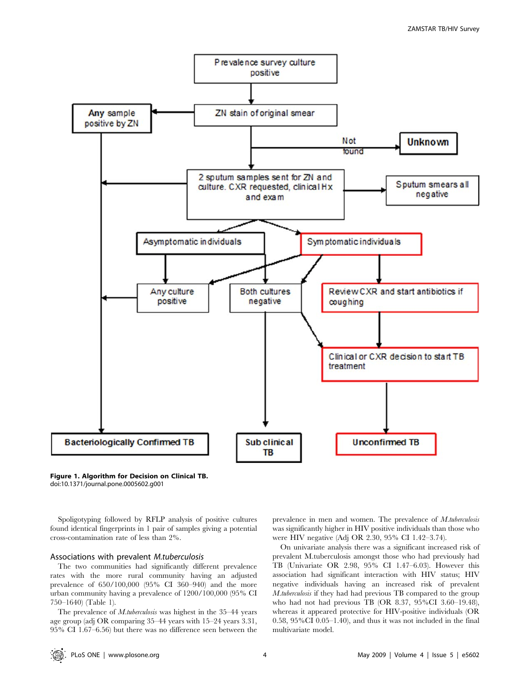



Spoligotyping followed by RFLP analysis of positive cultures found identical fingerprints in 1 pair of samples giving a potential cross-contamination rate of less than 2%.

# Associations with prevalent M.tuberculosis

The two communities had significantly different prevalence rates with the more rural community having an adjusted prevalence of 650/100,000 (95% CI 360–940) and the more urban community having a prevalence of 1200/100,000 (95% CI 750–1640) (Table 1).

The prevalence of *M.tuberculosis* was highest in the 35–44 years age group (adj OR comparing 35–44 years with 15–24 years 3.31, 95% CI 1.67–6.56) but there was no difference seen between the prevalence in men and women. The prevalence of M.tuberculosis was significantly higher in HIV positive individuals than those who were HIV negative (Adj OR 2.30, 95% CI 1.42–3.74).

On univariate analysis there was a significant increased risk of prevalent M.tuberculosis amongst those who had previously had TB (Univariate OR 2.98, 95% CI 1.47–6.03). However this association had significant interaction with HIV status; HIV negative individuals having an increased risk of prevalent M.tuberculosis if they had had previous TB compared to the group who had not had previous TB (OR 8.37, 95%CI 3.60–19.48), whereas it appeared protective for HIV-positive individuals (OR 0.58, 95%CI 0.05–1.40), and thus it was not included in the final multivariate model.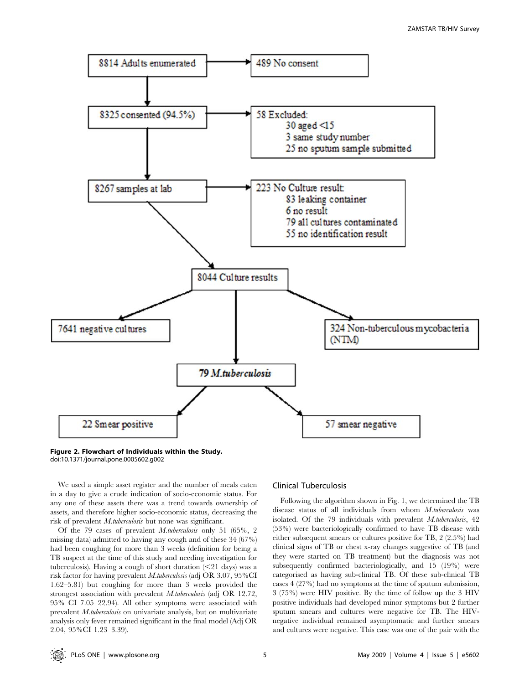

Figure 2. Flowchart of Individuals within the Study. doi:10.1371/journal.pone.0005602.g002

We used a simple asset register and the number of meals eaten in a day to give a crude indication of socio-economic status. For any one of these assets there was a trend towards ownership of assets, and therefore higher socio-economic status, decreasing the risk of prevalent *M.tuberculosis* but none was significant.

Of the 79 cases of prevalent M.tuberculosis only 51 (65%, 2 missing data) admitted to having any cough and of these 34 (67%) had been coughing for more than 3 weeks (definition for being a TB suspect at the time of this study and needing investigation for tuberculosis). Having a cough of short duration  $\leq 21$  days) was a risk factor for having prevalent M.tuberculosis (adj OR 3.07, 95%CI 1.62–5.81) but coughing for more than 3 weeks provided the strongest association with prevalent M.tuberculosis (adj OR 12.72, 95% CI 7.05–22.94). All other symptoms were associated with prevalent M.tuberculosis on univariate analysis, but on multivariate analysis only fever remained significant in the final model (Adj OR 2.04, 95%CI 1.23–3.39).

# Clinical Tuberculosis

Following the algorithm shown in Fig. 1, we determined the TB disease status of all individuals from whom M.tuberculosis was isolated. Of the 79 individuals with prevalent M.tuberculosis, 42 (53%) were bacteriologically confirmed to have TB disease with either subsequent smears or cultures positive for TB, 2 (2.5%) had clinical signs of TB or chest x-ray changes suggestive of TB (and they were started on TB treatment) but the diagnosis was not subsequently confirmed bacteriologically, and 15 (19%) were categorised as having sub-clinical TB. Of these sub-clinical TB cases 4 (27%) had no symptoms at the time of sputum submission, 3 (75%) were HIV positive. By the time of follow up the 3 HIV positive individuals had developed minor symptoms but 2 further sputum smears and cultures were negative for TB. The HIVnegative individual remained asymptomatic and further smears and cultures were negative. This case was one of the pair with the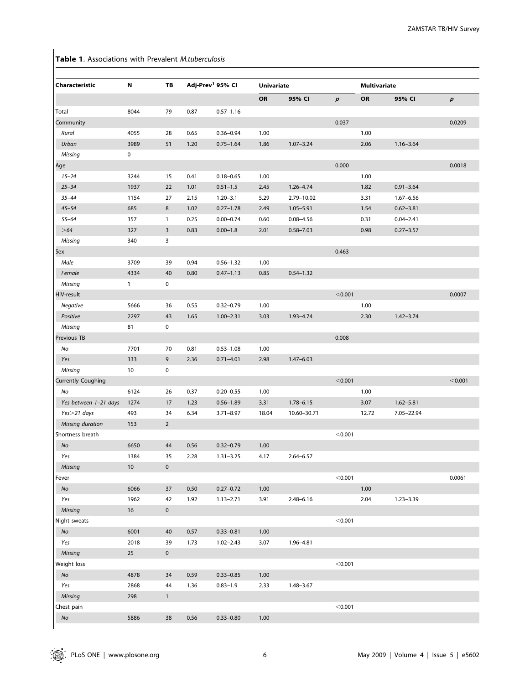# Table 1. Associations with Prevalent M.tuberculosis

| Characteristic            | Ν            | TВ                  | Adj-Prev <sup>1</sup> 95% Cl |               | <b>Univariate</b> |               |                  | <b>Multivariate</b> |               |                  |
|---------------------------|--------------|---------------------|------------------------------|---------------|-------------------|---------------|------------------|---------------------|---------------|------------------|
|                           |              |                     |                              |               | <b>OR</b>         | 95% CI        | $\boldsymbol{p}$ | OR                  | 95% CI        | $\boldsymbol{p}$ |
| Total                     | 8044         | 79                  | 0.87                         | $0.57 - 1.16$ |                   |               |                  |                     |               |                  |
| Community                 |              |                     |                              |               |                   |               | 0.037            |                     |               | 0.0209           |
| Rural                     | 4055         | 28                  | 0.65                         | $0.36 - 0.94$ | 1.00              |               |                  | 1.00                |               |                  |
| Urban                     | 3989         | 51                  | 1.20                         | $0.75 - 1.64$ | 1.86              | $1.07 - 3.24$ |                  | 2.06                | $1.16 - 3.64$ |                  |
| Missing                   | $\mathbf 0$  |                     |                              |               |                   |               |                  |                     |               |                  |
| Age                       |              |                     |                              |               |                   |               | 0.000            |                     |               | 0.0018           |
| $15 - 24$                 | 3244         | 15                  | 0.41                         | $0.18 - 0.65$ | 1.00              |               |                  | 1.00                |               |                  |
| $25 - 34$                 | 1937         | 22                  | 1.01                         | $0.51 - 1.5$  | 2.45              | $1.26 - 4.74$ |                  | 1.82                | $0.91 - 3.64$ |                  |
| $35 - 44$                 | 1154         | 27                  | 2.15                         | $1.20 - 3.1$  | 5.29              | 2.79-10.02    |                  | 3.31                | $1.67 - 6.56$ |                  |
| $45 - 54$                 | 685          | 8                   | 1.02                         | $0.27 - 1.78$ | 2.49              | $1.05 - 5.91$ |                  | 1.54                | $0.62 - 3.81$ |                  |
| $55 - 64$                 | 357          | $\mathbf{1}$        | 0.25                         | $0.00 - 0.74$ | 0.60              | $0.08 - 4.56$ |                  | 0.31                | $0.04 - 2.41$ |                  |
| >64                       | 327          | 3                   | 0.83                         | $0.00 - 1.8$  | 2.01              | $0.58 - 7.03$ |                  | 0.98                | $0.27 - 3.57$ |                  |
| Missing                   | 340          | 3                   |                              |               |                   |               |                  |                     |               |                  |
| Sex                       |              |                     |                              |               |                   |               | 0.463            |                     |               |                  |
| Male                      | 3709         | 39                  | 0.94                         | $0.56 - 1.32$ | 1.00              |               |                  |                     |               |                  |
| Female                    | 4334         | 40                  | 0.80                         | $0.47 - 1.13$ | 0.85              | $0.54 - 1.32$ |                  |                     |               |                  |
| Missing                   | $\mathbf{1}$ | 0                   |                              |               |                   |               |                  |                     |               |                  |
| HIV-result                |              |                     |                              |               |                   |               | < 0.001          |                     |               | 0.0007           |
| <b>Negative</b>           | 5666         | 36                  | 0.55                         | $0.32 - 0.79$ | 1.00              |               |                  | 1.00                |               |                  |
| Positive                  | 2297         | 43                  | 1.65                         | $1.00 - 2.31$ | 3.03              | $1.93 - 4.74$ |                  | 2.30                | $1.42 - 3.74$ |                  |
| Missing                   | 81           | 0                   |                              |               |                   |               |                  |                     |               |                  |
| Previous TB               |              |                     |                              |               |                   |               | 0.008            |                     |               |                  |
| No                        | 7701         | 70                  | 0.81                         | $0.53 - 1.08$ | 1.00              |               |                  |                     |               |                  |
| Yes                       | 333          | 9                   | 2.36                         | $0.71 - 4.01$ | 2.98              | $1.47 - 6.03$ |                  |                     |               |                  |
| Missing                   | 10           | 0                   |                              |               |                   |               |                  |                     |               |                  |
| <b>Currently Coughing</b> |              |                     |                              |               |                   |               | < 0.001          |                     |               | < 0.001          |
| No                        | 6124         | 26                  | 0.37                         | $0.20 - 0.55$ | 1.00              |               |                  | 1.00                |               |                  |
| Yes between 1-21 days     | 1274         | 17                  | 1.23                         | $0.56 - 1.89$ | 3.31              | $1.78 - 6.15$ |                  | 3.07                | $1.62 - 5.81$ |                  |
| $Yes > 21$ days           | 493          | 34                  | 6.34                         | $3.71 - 8.97$ | 18.04             | 10.60-30.71   |                  | 12.72               | 7.05-22.94    |                  |
| Missing duration          | 153          | $\overline{2}$      |                              |               |                   |               |                  |                     |               |                  |
| Shortness breath          |              |                     |                              |               |                   |               | < 0.001          |                     |               |                  |
| No                        | 6650         | 44                  | 0.56                         | $0.32 - 0.79$ | 1.00              |               |                  |                     |               |                  |
| Yes                       | 1384         | 35                  | 2.28                         | $1.31 - 3.25$ | 4.17              | $2.64 - 6.57$ |                  |                     |               |                  |
| Missing                   | 10           | $\mathsf{O}\xspace$ |                              |               |                   |               |                  |                     |               |                  |
| Fever                     |              |                     |                              |               |                   |               | < 0.001          |                     |               | 0.0061           |
| No                        | 6066         | 37                  | 0.50                         | $0.27 - 0.72$ | $1.00\,$          |               |                  | $1.00\,$            |               |                  |
| Yes                       | 1962         | 42                  | 1.92                         | $1.13 - 2.71$ | 3.91              | $2.48 - 6.16$ |                  | 2.04                | $1.23 - 3.39$ |                  |
| <b>Missing</b>            | 16           | $\pmb{0}$           |                              |               |                   |               |                  |                     |               |                  |
| Night sweats              |              |                     |                              |               |                   |               | < 0.001          |                     |               |                  |
| No                        | 6001         | 40                  | 0.57                         | $0.33 - 0.81$ | 1.00              |               |                  |                     |               |                  |
| Yes                       | 2018         | 39                  | 1.73                         | $1.02 - 2.43$ | 3.07              | 1.96-4.81     |                  |                     |               |                  |
| Missing                   | 25           | $\pmb{0}$           |                              |               |                   |               |                  |                     |               |                  |
| Weight loss               |              |                     |                              |               |                   |               | < 0.001          |                     |               |                  |
| No                        | 4878         | 34                  | 0.59                         | $0.33 - 0.85$ | 1.00              |               |                  |                     |               |                  |
| Yes                       | 2868         | 44                  | 1.36                         | $0.83 - 1.9$  | 2.33              | $1.48 - 3.67$ |                  |                     |               |                  |
| Missing                   | 298          | $\mathbf{1}$        |                              |               |                   |               |                  |                     |               |                  |
| Chest pain                |              |                     |                              |               |                   |               | < 0.001          |                     |               |                  |
| No                        | 5886         | 38                  | 0.56                         | $0.33 - 0.80$ | 1.00              |               |                  |                     |               |                  |
|                           |              |                     |                              |               |                   |               |                  |                     |               |                  |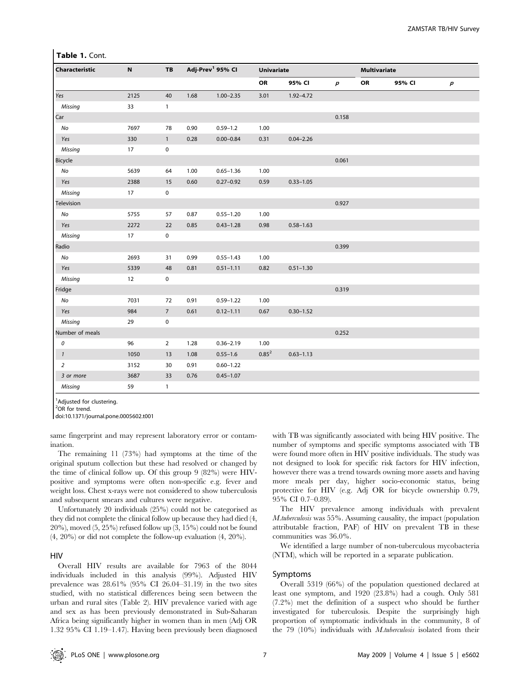| Characteristic  | ${\bf N}$ | TB             |      | Adj-Prev <sup>1</sup> 95% Cl | <b>Univariate</b> |               |                  | <b>Multivariate</b> |        |                  |
|-----------------|-----------|----------------|------|------------------------------|-------------------|---------------|------------------|---------------------|--------|------------------|
|                 |           |                |      |                              | OR                | 95% CI        | $\boldsymbol{p}$ | OR                  | 95% CI | $\boldsymbol{p}$ |
| Yes             | 2125      | 40             | 1.68 | $1.00 - 2.35$                | 3.01              | $1.92 - 4.72$ |                  |                     |        |                  |
| Missing         | 33        | $\mathbf{1}$   |      |                              |                   |               |                  |                     |        |                  |
| Car             |           |                |      |                              |                   |               | 0.158            |                     |        |                  |
| No              | 7697      | 78             | 0.90 | $0.59 - 1.2$                 | 1.00              |               |                  |                     |        |                  |
| Yes             | 330       | $\mathbf{1}$   | 0.28 | $0.00 - 0.84$                | 0.31              | $0.04 - 2.26$ |                  |                     |        |                  |
| Missing         | 17        | 0              |      |                              |                   |               |                  |                     |        |                  |
| Bicycle         |           |                |      |                              |                   |               | 0.061            |                     |        |                  |
| No              | 5639      | 64             | 1.00 | $0.65 - 1.36$                | 1.00              |               |                  |                     |        |                  |
| Yes             | 2388      | 15             | 0.60 | $0.27 - 0.92$                | 0.59              | $0.33 - 1.05$ |                  |                     |        |                  |
| Missing         | 17        | 0              |      |                              |                   |               |                  |                     |        |                  |
| Television      |           |                |      |                              |                   |               | 0.927            |                     |        |                  |
| No              | 5755      | 57             | 0.87 | $0.55 - 1.20$                | 1.00              |               |                  |                     |        |                  |
| Yes             | 2272      | 22             | 0.85 | $0.43 - 1.28$                | 0.98              | $0.58 - 1.63$ |                  |                     |        |                  |
| Missing         | 17        | 0              |      |                              |                   |               |                  |                     |        |                  |
| Radio           |           |                |      |                              |                   |               | 0.399            |                     |        |                  |
| No              | 2693      | 31             | 0.99 | $0.55 - 1.43$                | 1.00              |               |                  |                     |        |                  |
| Yes             | 5339      | 48             | 0.81 | $0.51 - 1.11$                | 0.82              | $0.51 - 1.30$ |                  |                     |        |                  |
| Missing         | 12        | 0              |      |                              |                   |               |                  |                     |        |                  |
| Fridge          |           |                |      |                              |                   |               | 0.319            |                     |        |                  |
| No              | 7031      | 72             | 0.91 | $0.59 - 1.22$                | 1.00              |               |                  |                     |        |                  |
| Yes             | 984       | $\overline{7}$ | 0.61 | $0.12 - 1.11$                | 0.67              | $0.30 - 1.52$ |                  |                     |        |                  |
| Missing         | 29        | 0              |      |                              |                   |               |                  |                     |        |                  |
| Number of meals |           |                |      |                              |                   |               | 0.252            |                     |        |                  |
| 0               | 96        | $\overline{2}$ | 1.28 | $0.36 - 2.19$                | 1.00              |               |                  |                     |        |                  |
| $\mathbf{1}$    | 1050      | 13             | 1.08 | $0.55 - 1.6$                 | $0.85^2$          | $0.63 - 1.13$ |                  |                     |        |                  |
| $\overline{a}$  | 3152      | 30             | 0.91 | $0.60 - 1.22$                |                   |               |                  |                     |        |                  |
| 3 or more       | 3687      | 33             | 0.76 | $0.45 - 1.07$                |                   |               |                  |                     |        |                  |
| Missing         | 59        | $\mathbf{1}$   |      |                              |                   |               |                  |                     |        |                  |

<sup>1</sup>Adjusted for clustering.

<sup>2</sup>OR for trend.

Table 1. Cont.

doi:10.1371/journal.pone.0005602.t001

same fingerprint and may represent laboratory error or contamination.

The remaining 11 (73%) had symptoms at the time of the original sputum collection but these had resolved or changed by the time of clinical follow up. Of this group 9 (82%) were HIVpositive and symptoms were often non-specific e.g. fever and weight loss. Chest x-rays were not considered to show tuberculosis and subsequent smears and cultures were negative.

Unfortunately 20 individuals (25%) could not be categorised as they did not complete the clinical follow up because they had died (4, 20%), moved (5, 25%) refused follow up (3, 15%) could not be found (4, 20%) or did not complete the follow-up evaluation (4, 20%).

# HIV

Overall HIV results are available for 7963 of the 8044 individuals included in this analysis (99%). Adjusted HIV prevalence was 28.61% (95% CI 26.04–31.19) in the two sites studied, with no statistical differences being seen between the urban and rural sites (Table 2). HIV prevalence varied with age and sex as has been previously demonstrated in Sub-Saharan Africa being significantly higher in women than in men (Adj OR 1.32 95% CI 1.19–1.47). Having been previously been diagnosed with TB was significantly associated with being HIV positive. The number of symptoms and specific symptoms associated with TB were found more often in HIV positive individuals. The study was not designed to look for specific risk factors for HIV infection, however there was a trend towards owning more assets and having more meals per day, higher socio-economic status, being protective for HIV (e.g. Adj OR for bicycle ownership 0.79, 95% CI 0.7–0.89).

The HIV prevalence among individuals with prevalent M.tuberculosis was 55%. Assuming causality, the impact (population attributable fraction, PAF) of HIV on prevalent TB in these communities was 36.0%.

We identified a large number of non-tuberculous mycobacteria (NTM), which will be reported in a separate publication.

### Symptoms

Overall 5319 (66%) of the population questioned declared at least one symptom, and 1920 (23.8%) had a cough. Only 581 (7.2%) met the definition of a suspect who should be further investigated for tuberculosis. Despite the surprisingly high proportion of symptomatic individuals in the community, 8 of the 79  $(10\%)$  individuals with *M.tuberculosis* isolated from their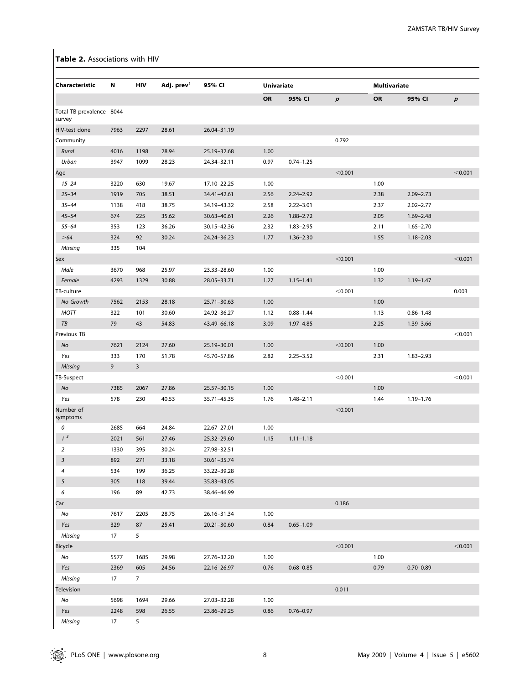# Table 2. Associations with HIV

| Characteristic           | N    | HIV            | Adj. prev <sup>1</sup> | 95% CI      | Univariate |               |                  | <b>Multivariate</b> |               |                  |
|--------------------------|------|----------------|------------------------|-------------|------------|---------------|------------------|---------------------|---------------|------------------|
|                          |      |                |                        |             | OR         | 95% CI        | $\boldsymbol{p}$ | OR                  | 95% CI        | $\boldsymbol{p}$ |
| Total TB-prevalence 8044 |      |                |                        |             |            |               |                  |                     |               |                  |
| survey                   |      |                |                        |             |            |               |                  |                     |               |                  |
| HIV-test done            | 7963 | 2297           | 28.61                  | 26.04-31.19 |            |               |                  |                     |               |                  |
| Community                |      |                |                        |             |            |               | 0.792            |                     |               |                  |
| Rural                    | 4016 | 1198           | 28.94                  | 25.19-32.68 | 1.00       |               |                  |                     |               |                  |
| Urban                    | 3947 | 1099           | 28.23                  | 24.34-32.11 | 0.97       | $0.74 - 1.25$ |                  |                     |               |                  |
| Age                      |      |                |                        |             |            |               | < 0.001          |                     |               | < 0.001          |
| $15 - 24$                | 3220 | 630            | 19.67                  | 17.10-22.25 | 1.00       |               |                  | 1.00                |               |                  |
| $25 - 34$                | 1919 | 705            | 38.51                  | 34.41-42.61 | 2.56       | $2.24 - 2.92$ |                  | 2.38                | $2.09 - 2.73$ |                  |
| $35 - 44$                | 1138 | 418            | 38.75                  | 34.19-43.32 | 2.58       | $2.22 - 3.01$ |                  | 2.37                | $2.02 - 2.77$ |                  |
| $45 - 54$                | 674  | 225            | 35.62                  | 30.63-40.61 | 2.26       | $1.88 - 2.72$ |                  | 2.05                | $1.69 - 2.48$ |                  |
| $55 - 64$                | 353  | 123            | 36.26                  | 30.15-42.36 | 2.32       | $1.83 - 2.95$ |                  | 2.11                | $1.65 - 2.70$ |                  |
| >64                      | 324  | 92             | 30.24                  | 24.24-36.23 | 1.77       | $1.36 - 2.30$ |                  | 1.55                | $1.18 - 2.03$ |                  |
| Missing                  | 335  | 104            |                        |             |            |               |                  |                     |               |                  |
| Sex                      |      |                |                        |             |            |               | < 0.001          |                     |               | < 0.001          |
| Male                     | 3670 | 968            | 25.97                  | 23.33-28.60 | 1.00       |               |                  | 1.00                |               |                  |
| Female                   | 4293 | 1329           | 30.88                  | 28.05-33.71 | 1.27       | $1.15 - 1.41$ |                  | 1.32                | $1.19 - 1.47$ |                  |
| TB-culture               |      |                |                        |             |            |               | < 0.001          |                     |               | 0.003            |
| No Growth                | 7562 | 2153           | 28.18                  | 25.71-30.63 | 1.00       |               |                  | 1.00                |               |                  |
| MOTT                     | 322  | 101            | 30.60                  | 24.92-36.27 | 1.12       | $0.88 - 1.44$ |                  | 1.13                | $0.86 - 1.48$ |                  |
| TB                       | 79   | 43             | 54.83                  | 43.49-66.18 | 3.09       | $1.97 - 4.85$ |                  | 2.25                | 1.39-3.66     |                  |
| Previous TB              |      |                |                        |             |            |               |                  |                     |               | < 0.001          |
| No                       | 7621 | 2124           | 27.60                  | 25.19-30.01 | 1.00       |               | < 0.001          | 1.00                |               |                  |
| Yes                      | 333  | 170            | 51.78                  | 45.70-57.86 | 2.82       | $2.25 - 3.52$ |                  | 2.31                | $1.83 - 2.93$ |                  |
| <b>Missing</b>           | 9    | $\overline{3}$ |                        |             |            |               |                  |                     |               |                  |
| TB-Suspect               |      |                |                        |             |            |               | < 0.001          |                     |               | < 0.001          |
| No                       | 7385 | 2067           | 27.86                  | 25.57-30.15 | 1.00       |               |                  | 1.00                |               |                  |
| Yes                      | 578  | 230            | 40.53                  | 35.71-45.35 | 1.76       | $1.48 - 2.11$ |                  | 1.44                | $1.19 - 1.76$ |                  |
| Number of<br>symptoms    |      |                |                        |             |            |               | < 0.001          |                     |               |                  |
| 0                        | 2685 | 664            | 24.84                  | 22.67-27.01 | 1.00       |               |                  |                     |               |                  |
| 1 <sup>3</sup>           | 2021 | 561            | 27.46                  | 25.32-29.60 | 1.15       | $1.11 - 1.18$ |                  |                     |               |                  |
| $\overline{2}$           | 1330 | 395            | 30.24                  | 27.98-32.51 |            |               |                  |                     |               |                  |
| $\overline{3}$           | 892  | 271            | 33.18                  | 30.61-35.74 |            |               |                  |                     |               |                  |
| 4                        | 534  | 199            | 36.25                  | 33.22-39.28 |            |               |                  |                     |               |                  |
| 5                        | 305  | 118            | 39.44                  | 35.83-43.05 |            |               |                  |                     |               |                  |
| 6                        | 196  | 89             | 42.73                  | 38.46-46.99 |            |               |                  |                     |               |                  |
| Car                      |      |                |                        |             |            |               | 0.186            |                     |               |                  |
| No                       | 7617 | 2205           | 28.75                  | 26.16-31.34 | 1.00       |               |                  |                     |               |                  |
| Yes                      | 329  | 87             | 25.41                  | 20.21-30.60 | 0.84       | $0.65 - 1.09$ |                  |                     |               |                  |
| Missing                  | 17   | 5              |                        |             |            |               |                  |                     |               |                  |
| Bicycle                  |      |                |                        |             |            |               | < 0.001          |                     |               | < 0.001          |
| No                       | 5577 | 1685           | 29.98                  | 27.76-32.20 | 1.00       |               |                  | 1.00                |               |                  |
| Yes                      | 2369 | 605            | 24.56                  | 22.16-26.97 | 0.76       | $0.68 - 0.85$ |                  | 0.79                | $0.70 - 0.89$ |                  |
| Missing                  | 17   | $\overline{7}$ |                        |             |            |               |                  |                     |               |                  |
| Television               |      |                |                        |             |            |               | 0.011            |                     |               |                  |
| No                       | 5698 | 1694           | 29.66                  | 27.03-32.28 | 1.00       |               |                  |                     |               |                  |
| Yes                      | 2248 | 598            | 26.55                  | 23.86-29.25 | 0.86       | $0.76 - 0.97$ |                  |                     |               |                  |
| Missing                  | 17   | 5              |                        |             |            |               |                  |                     |               |                  |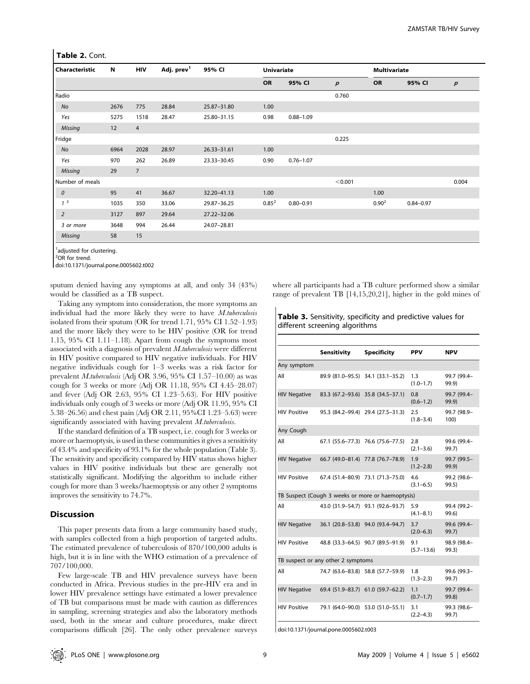Table 2. Cont.

| Characteristic  | N    | HIV            | Adj. prev <sup>1</sup> | 95% CI      | <b>Univariate</b> |               |                  | <b>Multivariate</b> |               |                  |
|-----------------|------|----------------|------------------------|-------------|-------------------|---------------|------------------|---------------------|---------------|------------------|
|                 |      |                |                        |             | <b>OR</b>         | 95% CI        | $\boldsymbol{p}$ | <b>OR</b>           | 95% CI        | $\boldsymbol{p}$ |
| Radio           |      |                |                        |             |                   |               | 0.760            |                     |               |                  |
| No              | 2676 | 775            | 28.84                  | 25.87-31.80 | 1.00              |               |                  |                     |               |                  |
| Yes             | 5275 | 1518           | 28.47                  | 25.80-31.15 | 0.98              | $0.88 - 1.09$ |                  |                     |               |                  |
| Missing         | 12   | $\overline{4}$ |                        |             |                   |               |                  |                     |               |                  |
| Fridge          |      |                |                        |             |                   |               | 0.225            |                     |               |                  |
| No              | 6964 | 2028           | 28.97                  | 26.33-31.61 | 1.00              |               |                  |                     |               |                  |
| Yes             | 970  | 262            | 26.89                  | 23.33-30.45 | 0.90              | $0.76 - 1.07$ |                  |                     |               |                  |
| Missing         | 29   | $\overline{7}$ |                        |             |                   |               |                  |                     |               |                  |
| Number of meals |      |                |                        |             |                   |               | < 0.001          |                     |               | 0.004            |
| 0               | 95   | 41             | 36.67                  | 32.20-41.13 | 1.00              |               |                  | 1.00                |               |                  |
| 1 <sup>3</sup>  | 1035 | 350            | 33.06                  | 29.87-36.25 | $0.85^2$          | $0.80 - 0.91$ |                  | 0.90 <sup>2</sup>   | $0.84 - 0.97$ |                  |
| $\overline{2}$  | 3127 | 897            | 29.64                  | 27.22-32.06 |                   |               |                  |                     |               |                  |
| 3 or more       | 3648 | 994            | 26.44                  | 24.07-28.81 |                   |               |                  |                     |               |                  |
| Missing         | 58   | 15             |                        |             |                   |               |                  |                     |               |                  |

<sup>1</sup> adjusted for clustering.

<sup>2</sup>OR for trend.

doi:10.1371/journal.pone.0005602.t002

sputum denied having any symptoms at all, and only 34 (43%) would be classified as a TB suspect.

Taking any symptom into consideration, the more symptoms an individual had the more likely they were to have M.tuberculosis isolated from their sputum (OR for trend 1.71, 95% CI 1.52–1.93) and the more likely they were to be HIV positive (OR for trend 1.15,  $95\%$  CI 1.11–1.18). Apart from cough the symptoms most associated with a diagnosis of prevalent M.tuberculosis were different in HIV positive compared to HIV negative individuals. For HIV negative individuals cough for 1–3 weeks was a risk factor for prevalent M.tuberculosis (Adj OR 3.96, 95% CI 1.57–10.00) as was cough for 3 weeks or more (Adj OR 11.18, 95% CI 4.45–28.07) and fever (Adj OR 2.63, 95% CI 1.23–5.63). For HIV positive individuals only cough of 3 weeks or more (Adj OR 11.95, 95% CI 5.38–26.56) and chest pain (Adj OR 2.11, 95%CI 1.23–5.63) were significantly associated with having prevalent M.tuberculosis.

If the standard definition of a TB suspect, i.e. cough for 3 weeks or more or haemoptysis, is used in these communities it gives a sensitivity of 43.4% and specificity of 93.1% for the whole population (Table 3). The sensitivity and specificity compared by HIV status shows higher values in HIV positive individuals but these are generally not statistically significant. Modifying the algorithm to include either cough for more than 3 weeks/haemoptysis or any other 2 symptoms improves the sensitivity to 74.7%.

# Discussion

This paper presents data from a large community based study, with samples collected from a high proportion of targeted adults. The estimated prevalence of tuberculosis of 870/100,000 adults is high, but it is in line with the WHO estimation of a prevalence of 707/100,000.

Few large-scale TB and HIV prevalence surveys have been conducted in Africa. Previous studies in the pre-HIV era and in lower HIV prevalence settings have estimated a lower prevalence of TB but comparisons must be made with caution as differences in sampling, screening strategies and also the laboratory methods used, both in the smear and culture procedures, make direct comparisons difficult [26]. The only other prevalence surveys where all participants had a TB culture performed show a similar range of prevalent TB [14,15,20,21], higher in the gold mines of

# Table 3. Sensitivity, specificity and predictive values for different screening algorithms

|                     | Sensitivity                        | <b>Specificity</b>                                | <b>PPV</b>            | NPV                  |
|---------------------|------------------------------------|---------------------------------------------------|-----------------------|----------------------|
| Any symptom         |                                    |                                                   |                       |                      |
| All                 |                                    | 89.9 (81.0-95.5) 34.1 (33.1-35.2)                 | 1.3<br>$(1.0 - 1.7)$  | 99.7 (99.4-<br>99.9  |
| <b>HIV Negative</b> |                                    | 83.3 (67.2-93.6) 35.8 (34.5-37.1)                 | 0.8<br>$(0.6 - 1.2)$  | 99.7 (99.4-<br>99.9) |
| <b>HIV Positive</b> |                                    | 95.3 (84.2-99.4) 29.4 (27.5-31.3)                 | 2.5<br>$(1.8 - 3.4)$  | 99.7 (98.9-<br>100)  |
| Any Cough           |                                    |                                                   |                       |                      |
| All                 |                                    | 67.1 (55.6–77.3) 76.6 (75.6–77.5)                 | 2.8<br>$(2.1 - 3.6)$  | 99.6 (99.4-<br>99.7) |
| <b>HIV Negative</b> |                                    | 66.7 (49.0-81.4) 77.8 (76.7-78.9)                 | 1.9<br>$(1.2 - 2.8)$  | 99.7 (99.5-<br>99.9) |
| <b>HIV Positive</b> |                                    | 67.4 (51.4–80.9) 73.1 (71.3–75.0)                 | 4.6<br>$(3.1 - 6.5)$  | 99.2 (98.6-<br>99.5) |
|                     |                                    | TB Suspect (Cough 3 weeks or more or haemoptysis) |                       |                      |
| All                 |                                    | 43.0 (31.9-54.7) 93.1 (92.6-93.7)                 | 5.9<br>$(4.1 - 8.1)$  | 99.4 (99.2-<br>99.6) |
| <b>HIV Negative</b> |                                    | 36.1 (20.8-53.8) 94.0 (93.4-94.7)                 | 3.7<br>$(2.0 - 6.3)$  | 99.6 (99.4-<br>99.7) |
| <b>HIV Positive</b> |                                    | 48.8 (33.3-64.5) 90.7 (89.5-91.9)                 | 9.1<br>$(5.7 - 13.6)$ | 98.9 (98.4-<br>99.3) |
|                     | TB suspect or any other 2 symptoms |                                                   |                       |                      |
| All                 |                                    | 74.7 (63.6-83.8) 58.8 (57.7-59.9)                 | 1.8<br>$(1.3 - 2.3)$  | 99.6 (99.3-<br>99.7) |
| <b>HIV Negative</b> |                                    | 69.4 (51.9-83.7) 61.0 (59.7-62.2)                 | 1.1<br>$(0.7 - 1.7)$  | 99.7 (99.4-<br>99.8  |
| <b>HIV Positive</b> |                                    | 79.1 (64.0-90.0) 53.0 (51.0-55.1)                 | 3.1<br>$(2.2 - 4.3)$  | 99.3 (98.6-<br>99.7  |

doi:10.1371/journal.pone.0005602.t003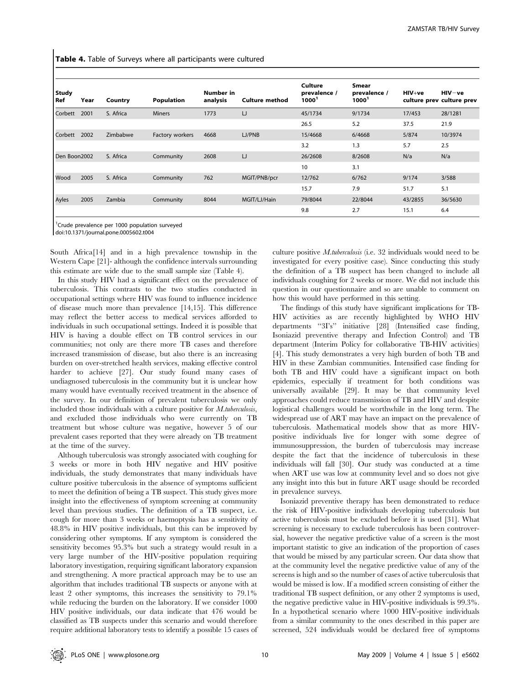Table 4. Table of Surveys where all participants were cultured

| Study<br>Ref | Year | Country   | <b>Population</b> | Number in<br>analysis | <b>Culture method</b> | Culture<br>prevalence /<br>1000 <sup>1</sup> | Smear<br>prevalence /<br>1000 <sup>1</sup> | $HIV+ve$ | $HIV - ve$<br>culture prev culture prev |
|--------------|------|-----------|-------------------|-----------------------|-----------------------|----------------------------------------------|--------------------------------------------|----------|-----------------------------------------|
| Corbett      | 2001 | S. Africa | <b>Miners</b>     | 1773                  | IJ                    | 45/1734                                      | 9/1734                                     | 17/453   | 28/1281                                 |
|              |      |           |                   |                       |                       | 26.5                                         | 5.2                                        | 37.5     | 21.9                                    |
| Corbett      | 2002 | Zimbabwe  | Factory workers   | 4668                  | LJ/PNB                | 15/4668                                      | 6/4668                                     | 5/874    | 10/3974                                 |
|              |      |           |                   |                       |                       | 3.2                                          | 1.3                                        | 5.7      | 2.5                                     |
| Den Boon2002 |      | S. Africa | Community         | 2608                  | IJ                    | 26/2608                                      | 8/2608                                     | N/a      | N/a                                     |
|              |      |           |                   |                       |                       | 10                                           | 3.1                                        |          |                                         |
| Wood         | 2005 | S. Africa | Community         | 762                   | MGIT/PNB/pcr          | 12/762                                       | 6/762                                      | 9/174    | 3/588                                   |
|              |      |           |                   |                       |                       | 15.7                                         | 7.9                                        | 51.7     | 5.1                                     |
| Ayles        | 2005 | Zambia    | Community         | 8044                  | MGIT/LJ/Hain          | 79/8044                                      | 22/8044                                    | 43/2855  | 36/5630                                 |
|              |      |           |                   |                       |                       | 9.8                                          | 2.7                                        | 15.1     | 6.4                                     |

<sup>1</sup> Crude prevalence per 1000 population surveyed

doi:10.1371/journal.pone.0005602.t004

South Africa[14] and in a high prevalence township in the Western Cape [21]- although the confidence intervals surrounding this estimate are wide due to the small sample size (Table 4).

In this study HIV had a significant effect on the prevalence of tuberculosis. This contrasts to the two studies conducted in occupational settings where HIV was found to influence incidence of disease much more than prevalence [14,15]. This difference may reflect the better access to medical services afforded to individuals in such occupational settings. Indeed it is possible that HIV is having a double effect on TB control services in our communities; not only are there more TB cases and therefore increased transmission of disease, but also there is an increasing burden on over-stretched health services, making effective control harder to achieve [27]. Our study found many cases of undiagnosed tuberculosis in the community but it is unclear how many would have eventually received treatment in the absence of the survey. In our definition of prevalent tuberculosis we only included those individuals with a culture positive for M.tuberculosis, and excluded those individuals who were currently on TB treatment but whose culture was negative, however 5 of our prevalent cases reported that they were already on TB treatment at the time of the survey.

Although tuberculosis was strongly associated with coughing for 3 weeks or more in both HIV negative and HIV positive individuals, the study demonstrates that many individuals have culture positive tuberculosis in the absence of symptoms sufficient to meet the definition of being a TB suspect. This study gives more insight into the effectiveness of symptom screening at community level than previous studies. The definition of a TB suspect, i.e. cough for more than 3 weeks or haemoptysis has a sensitivity of 48.8% in HIV positive individuals, but this can be improved by considering other symptoms. If any symptom is considered the sensitivity becomes 95.3% but such a strategy would result in a very large number of the HIV-positive population requiring laboratory investigation, requiring significant laboratory expansion and strengthening. A more practical approach may be to use an algorithm that includes traditional TB suspects or anyone with at least 2 other symptoms, this increases the sensitivity to 79.1% while reducing the burden on the laboratory. If we consider 1000 HIV positive individuals, our data indicate that 476 would be classified as TB suspects under this scenario and would therefore require additional laboratory tests to identify a possible 15 cases of culture positive M.tuberculosis (i.e. 32 individuals would need to be investigated for every positive case). Since conducting this study the definition of a TB suspect has been changed to include all individuals coughing for 2 weeks or more. We did not include this question in our questionnaire and so are unable to comment on how this would have performed in this setting.

The findings of this study have significant implications for TB-HIV activities as are recently highlighted by WHO HIV departments ''3I's'' initiative [28] (Intensified case finding, Isoniazid preventive therapy and Infection Control) and TB department (Interim Policy for collaborative TB-HIV activities) [4]. This study demonstrates a very high burden of both TB and HIV in these Zambian communities. Intensified case finding for both TB and HIV could have a significant impact on both epidemics, especially if treatment for both conditions was universally available [29]. It may be that community level approaches could reduce transmission of TB and HIV and despite logistical challenges would be worthwhile in the long term. The widespread use of ART may have an impact on the prevalence of tuberculosis. Mathematical models show that as more HIVpositive individuals live for longer with some degree of immunosuppression, the burden of tuberculosis may increase despite the fact that the incidence of tuberculosis in these individuals will fall [30]. Our study was conducted at a time when ART use was low at community level and so does not give any insight into this but in future ART usage should be recorded in prevalence surveys.

Isoniazid preventive therapy has been demonstrated to reduce the risk of HIV-positive individuals developing tuberculosis but active tuberculosis must be excluded before it is used [31]. What screening is necessary to exclude tuberculosis has been controversial, however the negative predictive value of a screen is the most important statistic to give an indication of the proportion of cases that would be missed by any particular screen. Our data show that at the community level the negative predictive value of any of the screens is high and so the number of cases of active tuberculosis that would be missed is low. If a modified screen consisting of either the traditional TB suspect definition, or any other 2 symptoms is used, the negative predictive value in HIV-positive individuals is 99.3%. In a hypothetical scenario where 1000 HIV-positive individuals from a similar community to the ones described in this paper are screened, 524 individuals would be declared free of symptoms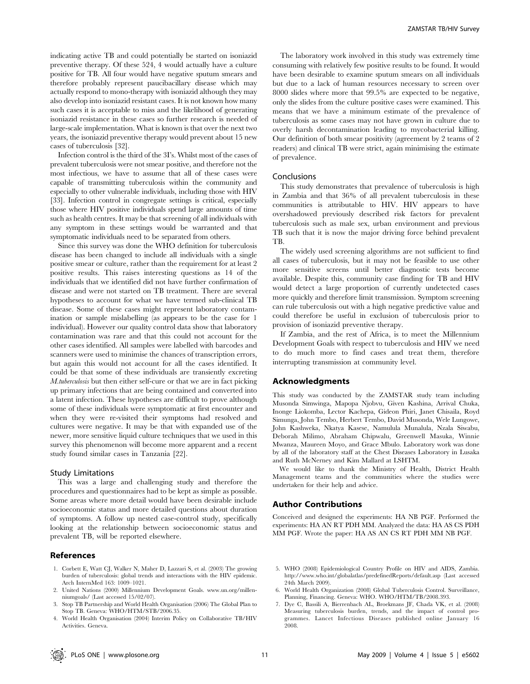indicating active TB and could potentially be started on isoniazid preventive therapy. Of these 524, 4 would actually have a culture positive for TB. All four would have negative sputum smears and therefore probably represent paucibacillary disease which may actually respond to mono-therapy with isoniazid although they may also develop into isoniazid resistant cases. It is not known how many such cases it is acceptable to miss and the likelihood of generating isoniazid resistance in these cases so further research is needed of large-scale implementation. What is known is that over the next two years, the isoniazid preventive therapy would prevent about 15 new cases of tuberculosis [32].

Infection control is the third of the 3I's. Whilst most of the cases of prevalent tuberculosis were not smear positive, and therefore not the most infectious, we have to assume that all of these cases were capable of transmitting tuberculosis within the community and especially to other vulnerable individuals, including those with HIV [33]. Infection control in congregate settings is critical, especially those where HIV positive individuals spend large amounts of time such as health centres. It may be that screening of all individuals with any symptom in these settings would be warranted and that symptomatic individuals need to be separated from others.

Since this survey was done the WHO definition for tuberculosis disease has been changed to include all individuals with a single positive smear or culture, rather than the requirement for at least 2 positive results. This raises interesting questions as 14 of the individuals that we identified did not have further confirmation of disease and were not started on TB treatment. There are several hypotheses to account for what we have termed sub-clinical TB disease. Some of these cases might represent laboratory contamination or sample mislabelling (as appears to be the case for 1 individual). However our quality control data show that laboratory contamination was rare and that this could not account for the other cases identified. All samples were labelled with barcodes and scanners were used to minimise the chances of transcription errors, but again this would not account for all the cases identified. It could be that some of these individuals are transiently excreting M.tuberculosis but then either self-cure or that we are in fact picking up primary infections that are being contained and converted into a latent infection. These hypotheses are difficult to prove although some of these individuals were symptomatic at first encounter and when they were re-visited their symptoms had resolved and cultures were negative. It may be that with expanded use of the newer, more sensitive liquid culture techniques that we used in this survey this phenomenon will become more apparent and a recent study found similar cases in Tanzania [22].

#### Study Limitations

This was a large and challenging study and therefore the procedures and questionnaires had to be kept as simple as possible. Some areas where more detail would have been desirable include socioeconomic status and more detailed questions about duration of symptoms. A follow up nested case-control study, specifically looking at the relationship between socioeconomic status and prevalent TB, will be reported elsewhere.

#### References

- 1. Corbett E, Watt CJ, Walker N, Maher D, Lazzari S, et al. (2003) The growing burden of tuberculosis: global trends and interactions with the HIV epidemic. Arch InternMed 163: 1009–1021.
- 2. United Nations (2000) Millennium Development Goals. www.un.org/millenniumgoals/ (Last accessed 15/02/07).
- 3. Stop TB Partnership and World Health Organisation (2006) The Global Plan to Stop TB. Geneva: WHO/HTM/STB/2006.35.
- 4. World Health Organisation (2004) Interim Policy on Collaborative TB/HIV Activities. Geneva.

The laboratory work involved in this study was extremely time consuming with relatively few positive results to be found. It would have been desirable to examine sputum smears on all individuals but due to a lack of human resources necessary to screen over 8000 slides where more that 99.5% are expected to be negative, only the slides from the culture positive cases were examined. This means that we have a minimum estimate of the prevalence of tuberculosis as some cases may not have grown in culture due to overly harsh decontamination leading to mycobacterial killing. Our definition of both smear positivity (agreement by 2 teams of 2 readers) and clinical TB were strict, again minimising the estimate of prevalence.

#### Conclusions

This study demonstrates that prevalence of tuberculosis is high in Zambia and that 36% of all prevalent tuberculosis in these communities is attributable to HIV. HIV appears to have overshadowed previously described risk factors for prevalent tuberculosis such as male sex, urban environment and previous TB such that it is now the major driving force behind prevalent TB.

The widely used screening algorithms are not sufficient to find all cases of tuberculosis, but it may not be feasible to use other more sensitive screens until better diagnostic tests become available. Despite this, community case finding for TB and HIV would detect a large proportion of currently undetected cases more quickly and therefore limit transmission. Symptom screening can rule tuberculosis out with a high negative predictive value and could therefore be useful in exclusion of tuberculosis prior to provision of isoniazid preventive therapy.

If Zambia, and the rest of Africa, is to meet the Millennium Development Goals with respect to tuberculosis and HIV we need to do much more to find cases and treat them, therefore interrupting transmission at community level.

# Acknowledgments

This study was conducted by the ZAMSTAR study team including Musonda Simwinga, Mapopa Njobvu, Given Kashina, Arrival Chuka, Inonge Liokomba, Lector Kachepa, Gideon Phiri, Janet Chisaila, Royd Simunga, John Tembo, Herbert Tembo, David Musonda, Wele Lungowe, John Kashweka, Nkatya Kasese, Namulula Munalula, Nzala Siwabu, Deborah Milimo, Abraham Chipwalu, Greenwell Masuka, Winnie Mwanza, Maureen Moyo, and Grace Mbulo. Laboratory work was done by all of the laboratory staff at the Chest Diseases Laboratory in Lusaka and Ruth McNerney and Kim Mallard at LSHTM.

We would like to thank the Ministry of Health, District Health Management teams and the communities where the studies were undertaken for their help and advice.

# Author Contributions

Conceived and designed the experiments: HA NB PGF. Performed the experiments: HA AN RT PDH MM. Analyzed the data: HA AS CS PDH MM PGF. Wrote the paper: HA AS AN CS RT PDH MM NB PGF.

- 5. WHO (2008) Epidemiological Country Profile on HIV and AIDS, Zambia. http://www.who.int/globalatlas/predefinedReports/default.asp (Last accessed 24th March 2009).
- 6. World Health Organization (2008) Global Tuberculosis Control. Surveillance, Planning, Financing. Geneva: WHO. WHO/HTM/TB/2008.393.
- 7. Dye C, Bassili A, Bierrenbach AL, Broekmans JF, Chada VK, et al. (2008) Measuring tuberculosis burden, trends, and the impact of control programmes. Lancet Infectious Diseases published online January 16 2008.